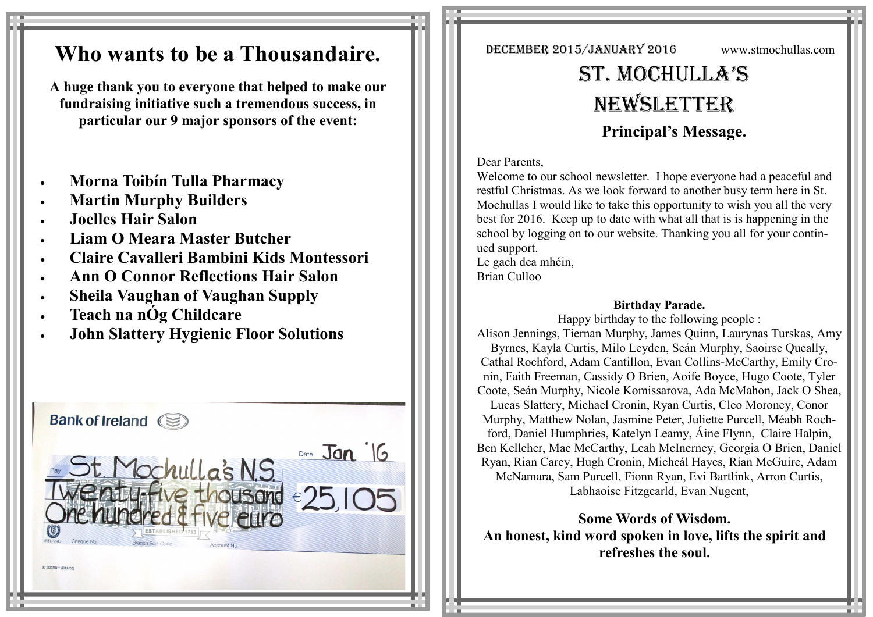## **Who wants to be a Thousandaire.**

**A huge thank you to everyone that helped to make our fundraising initiative such a tremendous success, in particular our 9 major sponsors of the event:**

- **Morna Toibín Tulla Pharmacy**
- **Martin Murphy Builders**
- **Joelles Hair Salon**
- **Liam O Meara Master Butcher**
- **Claire Cavalleri Bambini Kids Montessori**
- **Ann O Connor Reflections Hair Salon**
- **Sheila Vaughan of Vaughan Supply**
- **Teach na nÓg Childcare**
- **John Slattery Hygienic Floor Solutions**



December 2015/January 2016 www.stmochullas.com

# St. Mochulla'S **NEWSLETTER Principal's Message.**

### Dear Parents,

Welcome to our school newsletter. I hope everyone had a peaceful and restful Christmas. As we look forward to another busy term here in St. Mochullas I would like to take this opportunity to wish you all the very best for 2016. Keep up to date with what all that is is happening in the school by logging on to our website. Thanking you all for your continued support.

Le gach dea mhéin, Brian Culloo

## **Birthday Parade.**

Happy birthday to the following people : Alison Jennings, Tiernan Murphy, James Quinn, Laurynas Turskas, Amy Byrnes, Kayla Curtis, Milo Leyden, Seán Murphy, Saoirse Queally, Cathal Rochford, Adam Cantillon, Evan Collins-McCarthy, Emily Cronin, Faith Freeman, Cassidy O Brien, Aoife Boyce, Hugo Coote, Tyler Coote, Seán Murphy, Nicole Komissarova, Ada McMahon, Jack O Shea, Lucas Slattery, Michael Cronin, Ryan Curtis, Cleo Moroney, Conor Murphy, Matthew Nolan, Jasmine Peter, Juliette Purcell, Méabh Rochford, Daniel Humphries, Katelyn Leamy, Áine Flynn, Claire Halpin, Ben Kelleher, Mae McCarthy, Leah McInerney, Georgia O Brien, Daniel Ryan, Rian Carey, Hugh Cronin, Micheál Hayes, Rían McGuire, Adam McNamara, Sam Purcell, Fionn Ryan, Evi Bartlink, Arron Curtis, Labhaoise Fitzgearld, Evan Nugent,

**Some Words of Wisdom. An honest, kind word spoken in love, lifts the spirit and refreshes the soul.**